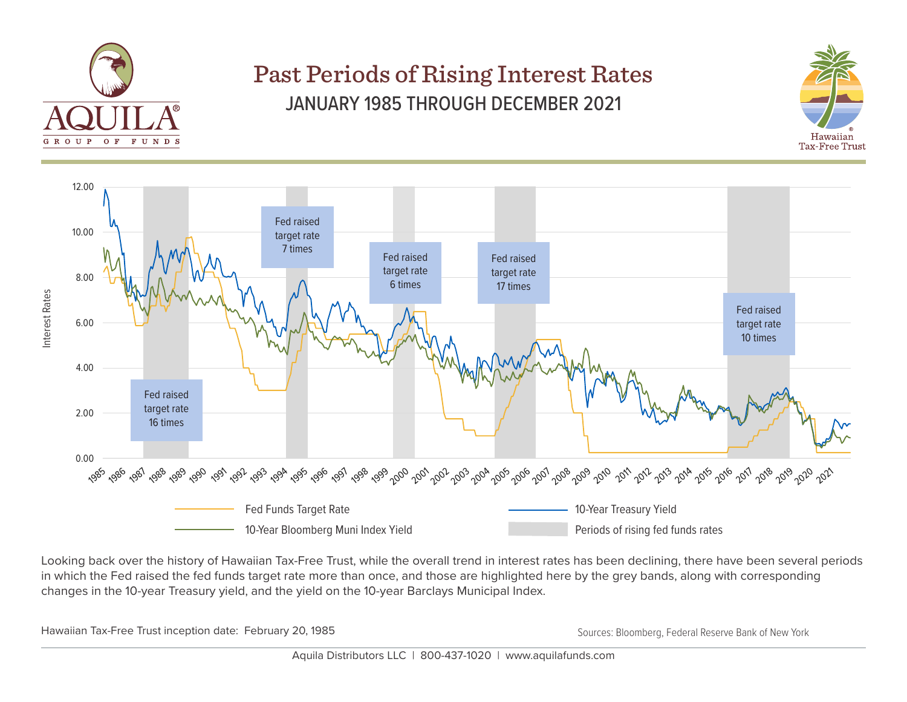

## Past Periods of Rising Interest Rates JANUARY 1985 THROUGH DECEMBER 2021





Looking back over the history of Hawaiian Tax-Free Trust, while the overall trend in interest rates has been declining, there have been several periods in which the Fed raised the fed funds target rate more than once, and those are highlighted here by the grey bands, along with corresponding changes in the 10-year Treasury yield, and the yield on the 10-year Barclays Municipal Index.

Hawaiian Tax-Free Trust inception date: February 20, 1985 Sources: Bloomberg, Federal Reserve Bank of New York